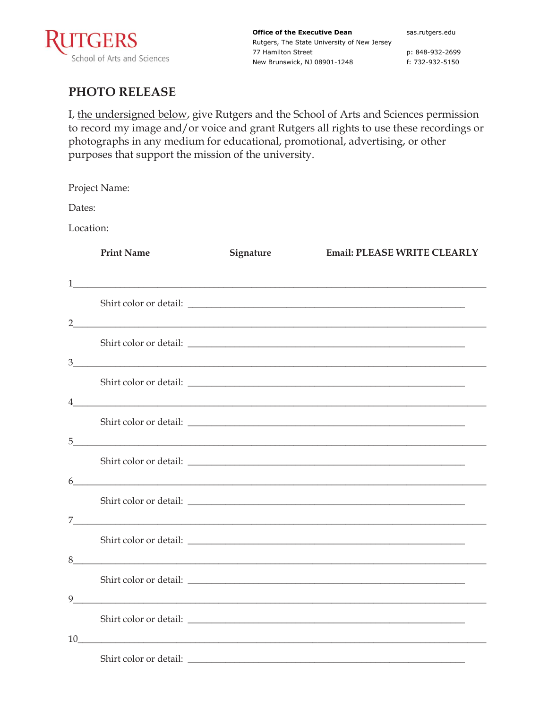

**Office of the Executive Dean** Rutgers, The State University of New Jersey 77 Hamilton Street New Brunswick, NJ 08901-1248

sas.rutgers.edu

p: 848-932-2699 f: 732-932-5150

## **PHOTO RELEASE**

I, the undersigned below, give Rutgers and the School of Arts and Sciences permission to record my image and/or voice and grant Rutgers all rights to use these recordings or photographs in any medium for educational, promotional, advertising, or other purposes that support the mission of the university.

Project Name:

Dates:

Location:

|    | <b>Print Name</b>                                                                                                      | Signature | <b>Email: PLEASE WRITE CLEARLY</b>                                                                                                                                                                                                                                                                                                   |
|----|------------------------------------------------------------------------------------------------------------------------|-----------|--------------------------------------------------------------------------------------------------------------------------------------------------------------------------------------------------------------------------------------------------------------------------------------------------------------------------------------|
|    |                                                                                                                        |           |                                                                                                                                                                                                                                                                                                                                      |
|    |                                                                                                                        |           |                                                                                                                                                                                                                                                                                                                                      |
|    |                                                                                                                        |           | $2$ and $\overline{a}$ and $\overline{a}$ and $\overline{a}$ and $\overline{a}$ and $\overline{a}$ and $\overline{a}$ and $\overline{a}$ and $\overline{a}$ and $\overline{a}$ and $\overline{a}$ and $\overline{a}$ and $\overline{a}$ and $\overline{a}$ and $\overline{a}$ and $\overline{a}$ and $\overline{a}$ and $\overline{$ |
|    |                                                                                                                        |           |                                                                                                                                                                                                                                                                                                                                      |
|    |                                                                                                                        |           | 3                                                                                                                                                                                                                                                                                                                                    |
|    |                                                                                                                        |           |                                                                                                                                                                                                                                                                                                                                      |
|    |                                                                                                                        |           | $\frac{1}{2}$                                                                                                                                                                                                                                                                                                                        |
|    |                                                                                                                        |           |                                                                                                                                                                                                                                                                                                                                      |
| 5  | <u> 1988 - Johann Barn, mars ann an t-Amhain ann an t-Amhain an t-Amhain an t-Amhain an t-Amhain an t-Amhain an t-</u> |           |                                                                                                                                                                                                                                                                                                                                      |
|    |                                                                                                                        |           |                                                                                                                                                                                                                                                                                                                                      |
|    |                                                                                                                        |           | $6 \overline{\phantom{a}}$                                                                                                                                                                                                                                                                                                           |
|    |                                                                                                                        |           |                                                                                                                                                                                                                                                                                                                                      |
|    |                                                                                                                        |           |                                                                                                                                                                                                                                                                                                                                      |
|    |                                                                                                                        |           |                                                                                                                                                                                                                                                                                                                                      |
|    |                                                                                                                        |           |                                                                                                                                                                                                                                                                                                                                      |
|    |                                                                                                                        |           | Shirt color or detail:                                                                                                                                                                                                                                                                                                               |
| 9  |                                                                                                                        |           | <u> 1980 - Johann Stoff, amerikansk politiker (d. 1980)</u>                                                                                                                                                                                                                                                                          |
|    |                                                                                                                        |           |                                                                                                                                                                                                                                                                                                                                      |
| 10 |                                                                                                                        |           |                                                                                                                                                                                                                                                                                                                                      |
|    |                                                                                                                        |           |                                                                                                                                                                                                                                                                                                                                      |